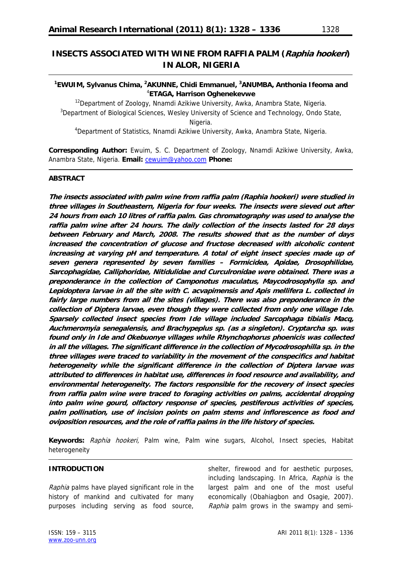# **INSECTS ASSOCIATED WITH WINE FROM RAFFIA PALM (Raphia hookeri) IN ALOR, NIGERIA**

### <sup>1</sup>EWUIM, Sylvanus Chima, <sup>2</sup>AKUNNE, Chidi Emmanuel, <sup>3</sup>ANUMBA, Anthonia Ifeoma and 4 **ETAGA, Harrison Oghenekevwe**

<sup>12</sup>Department of Zoology, Nnamdi Azikiwe University, Awka, Anambra State, Nigeria. <sup>3</sup>Department of Biological Sciences, Wesley University of Science and Technology, Ondo State, Nigeria.

<sup>4</sup>Department of Statistics, Nnamdi Azikiwe University, Awka, Anambra State, Nigeria.

**Corresponding Author:** Ewuim, S. C. Department of Zoology, Nnamdi Azikiwe University, Awka, Anambra State, Nigeria. **Email:** [cewuim@yahoo.com](mailto:cewuim@yahoo.com) **Phone:**

### **ABSTRACT**

**The insects associated with palm wine from raffia palm (Raphia hookeri) were studied in three villages in Southeastern, Nigeria for four weeks. The insects were sieved out after 24 hours from each 10 litres of raffia palm. Gas chromatography was used to analyse the raffia palm wine after 24 hours. The daily collection of the insects lasted for 28 days between February and March, 2008. The results showed that as the number of days increased the concentration of glucose and fructose decreased with alcoholic content increasing at varying pH and temperature. A total of eight insect species made up of seven genera represented by seven families – Formicidea, Apidae, Drosophilidae, Sarcophagidae, Calliphoridae, Nitidulidae and Curculronidae were obtained. There was a preponderance in the collection of Camponotus maculatus, Maycodrosophylla sp. and Lepidoptera larvae in all the site with C. acvapimensis and Apis mellifera L. collected in fairly large numbers from all the sites (villages). There was also preponderance in the collection of Diptera larvae, even though they were collected from only one village Ide. Sparsely collected insect species from Ide village included Sarcophaga tibialis Macq, Auchmeromyia senegalensis, and Brachypeplus sp. (as a singleton). Cryptarcha sp. was found only in Ide and Okebuonye villages while Rhynchophorus phoenicis was collected in all the villages. The significant difference in the collection of Mycodrosophilla sp. in the three villages were traced to variability in the movement of the conspecifics and habitat heterogeneity while the significant difference in the collection of Diptera larvae was attributed to differences in habitat use, differences in food resource and availability, and environmental heterogeneity. The factors responsible for the recovery of insect species from raffia palm wine were traced to foraging activities on palms, accidental dropping into palm wine gourd, olfactory response of species, pestiferous activities of species, palm pollination, use of incision points on palm stems and inflorescence as food and oviposition resources, and the role of raffia palms in the life history of species.** 

**Keywords:** Raphia hookeri, Palm wine, Palm wine sugars, Alcohol, Insect species, Habitat heterogeneity

### **INTRODUCTION**

Raphia palms have played significant role in the history of mankind and cultivated for many purposes including serving as food source, shelter, firewood and for aesthetic purposes, including landscaping. In Africa, Raphia is the largest palm and one of the most useful economically (Obahiagbon and Osagie, 2007). Raphia palm grows in the swampy and semi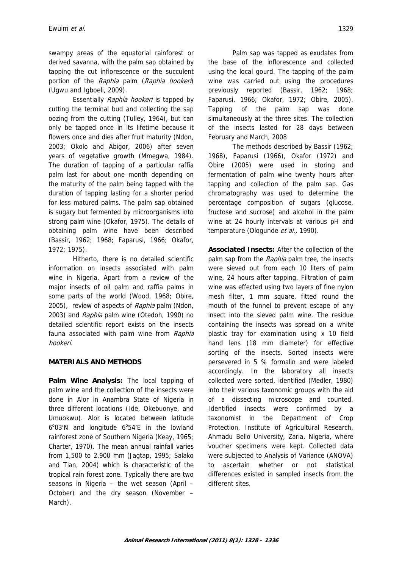swampy areas of the equatorial rainforest or derived savanna, with the palm sap obtained by tapping the cut inflorescence or the succulent portion of the Raphia palm (Raphia hookeri) (Ugwu and Igboeli, 2009).

Essentially Raphia hookeri is tapped by cutting the terminal bud and collecting the sap oozing from the cutting (Tulley, 1964), but can only be tapped once in its lifetime because it flowers once and dies after fruit maturity (Ndon, 2003; Okolo and Abigor, 2006) after seven years of vegetative growth (Mmegwa, 1984). The duration of tapping of a particular raffia palm last for about one month depending on the maturity of the palm being tapped with the duration of tapping lasting for a shorter period for less matured palms. The palm sap obtained is sugary but fermented by microorganisms into strong palm wine (Okafor, 1975). The details of obtaining palm wine have been described (Bassir, 1962; 1968; Faparusi, 1966; Okafor, 1972; 1975).

Hitherto, there is no detailed scientific information on insects associated with palm wine in Nigeria. Apart from a review of the major insects of oil palm and raffia palms in some parts of the world (Wood, 1968; Obire, 2005), review of aspects of Raphia palm (Ndon, 2003) and Raphia palm wine (Otedoh, 1990) no detailed scientific report exists on the insects fauna associated with palm wine from Raphia hookeri.

## **MATERIALS AND METHODS**

**Palm Wine Analysis:** The local tapping of palm wine and the collection of the insects were done in Alor in Anambra State of Nigeria in three different locations (Ide, Okebuonye, and Umuokwu). Alor is located between latitude 6°03'N and longitude 6°54'E in the lowland rainforest zone of Southern Nigeria (Keay, 1965; Charter, 1970). The mean annual rainfall varies from 1,500 to 2,900 mm (Jagtap, 1995; Salako and Tian, 2004) which is characteristic of the tropical rain forest zone. Typically there are two seasons in Nigeria – the wet season (April – October) and the dry season (November – March).

Palm sap was tapped as exudates from the base of the inflorescence and collected using the local gourd. The tapping of the palm wine was carried out using the procedures previously reported (Bassir, 1962; 1968; Faparusi, 1966; Okafor, 1972; Obire, 2005). Tapping of the palm sap was done simultaneously at the three sites. The collection of the insects lasted for 28 days between February and March, 2008

The methods described by Bassir (1962; 1968), Faparusi (1966), Okafor (1972) and Obire (2005) were used in storing and fermentation of palm wine twenty hours after tapping and collection of the palm sap. Gas chromatography was used to determine the percentage composition of sugars (glucose, fructose and sucrose) and alcohol in the palm wine at 24 hourly intervals at various pH and temperature (Ologunde et al., 1990).

**Associated Insects:** After the collection of the palm sap from the Raphia palm tree, the insects were sieved out from each 10 liters of palm wine, 24 hours after tapping. Filtration of palm wine was effected using two layers of fine nylon mesh filter, 1 mm square, fitted round the mouth of the funnel to prevent escape of any insect into the sieved palm wine. The residue containing the insects was spread on a white plastic tray for examination using x 10 field hand lens (18 mm diameter) for effective sorting of the insects. Sorted insects were persevered in 5 % formalin and were labeled accordingly. In the laboratory all insects collected were sorted, identified (Medler, 1980) into their various taxonomic groups with the aid of a dissecting microscope and counted. Identified insects were confirmed by a taxonomist in the Department of Crop Protection, Institute of Agricultural Research, Ahmadu Bello University, Zaria, Nigeria, where voucher specimens were kept. Collected data were subjected to Analysis of Variance (ANOVA) to ascertain whether or not statistical differences existed in sampled insects from the different sites.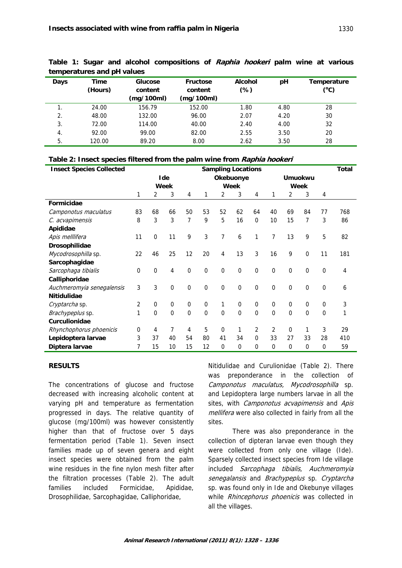| temperatures and pH values |                 |                    |                            |                          |      |                                    |  |  |  |  |
|----------------------------|-----------------|--------------------|----------------------------|--------------------------|------|------------------------------------|--|--|--|--|
| Days                       | Time<br>(Hours) | Glucose<br>content | <b>Fructose</b><br>content | <b>Alcohol</b><br>$(\%)$ | pH   | Temperature<br>$(^\circ \text{C})$ |  |  |  |  |
|                            |                 | (mg/100ml)         | (mg/100ml)                 |                          |      |                                    |  |  |  |  |
| 1.                         | 24.00           | 156.79             | 152.00                     | 1.80                     | 4.80 | 28                                 |  |  |  |  |
| 2.                         | 48.00           | 132.00             | 96.00                      | 2.07                     | 4.20 | 30                                 |  |  |  |  |
| 3.                         | 72.00           | 114.00             | 40.00                      | 2.40                     | 4.00 | 32                                 |  |  |  |  |
| $\overline{4}$ .           | 92.00           | 99.00              | 82.00                      | 2.55                     | 3.50 | 20                                 |  |  |  |  |
| 5.                         | 120.00          | 89.20              | 8.00                       | 2.62                     | 3.50 | 28                                 |  |  |  |  |

**Table 1: Sugar and alcohol compositions of Raphia hookeri palm wine at various temperatures and pH values** 

|  |  |  | Table 2: Insect species filtered from the palm wine from Raphia hookeri |
|--|--|--|-------------------------------------------------------------------------|
|--|--|--|-------------------------------------------------------------------------|

| <b>Insect Species Collected</b> | <b>Sampling Locations</b> |                  |             |             |                  |                |                  |                  |                |                | Total       |                |     |
|---------------------------------|---------------------------|------------------|-------------|-------------|------------------|----------------|------------------|------------------|----------------|----------------|-------------|----------------|-----|
|                                 | Ide                       |                  |             | Okebuonye   |                  |                | <b>Umuokwu</b>   |                  |                |                |             |                |     |
|                                 | Week                      |                  |             | Week        |                  |                | Week             |                  |                |                |             |                |     |
|                                 | 1                         | $\overline{2}$   | 3           | 4           | 1                | 2              | 3                | 4                | 1              | $\overline{2}$ | 3           | 4              |     |
| Formicidae                      |                           |                  |             |             |                  |                |                  |                  |                |                |             |                |     |
| Camponotus maculatus            | 83                        | 68               | 66          | 50          | 53               | 52             | 62               | 64               | 40             | 69             | 84          | 77             | 768 |
| C. acvapimensis                 | 8                         | 3                | 3           | 7           | 9                | 5              | 16               | $\mathbf 0$      | 10             | 15             | 7           | 3              | 86  |
| Apididae                        |                           |                  |             |             |                  |                |                  |                  |                |                |             |                |     |
| Apis melllifera                 | 11                        | $\mathbf 0$      | 11          | 9           | 3                | 7              | 6                | 1                | $\overline{7}$ | 13             | 9           | 5              | 82  |
| Drosophilidae                   |                           |                  |             |             |                  |                |                  |                  |                |                |             |                |     |
| Mycodrosophilla sp.             | 22                        | 46               | 25          | 12          | 20               | 4              | 13               | 3                | 16             | 9              | $\mathbf 0$ | 11             | 181 |
| Sarcophagidae                   |                           |                  |             |             |                  |                |                  |                  |                |                |             |                |     |
| Sarcophaga tibialis             | 0                         | 0                | 4           | $\mathbf 0$ | $\mathbf 0$      | $\pmb{0}$      | $\boldsymbol{0}$ | $\mathbf 0$      | $\mathbf 0$    | $\mathbf 0$    | $\Omega$    | $\overline{0}$ | 4   |
| Calliphoridae                   |                           |                  |             |             |                  |                |                  |                  |                |                |             |                |     |
| Auchmeromyia senegalensis       | 3                         | 3                | 0           | $\mathbf 0$ | $\mathbf 0$      | $\mathbf 0$    | $\mathbf 0$      | $\boldsymbol{0}$ | $\mathbf 0$    | $\mathbf 0$    | $\mathbf 0$ | $\mathbf 0$    | 6   |
| <b>Nitidulidae</b>              |                           |                  |             |             |                  |                |                  |                  |                |                |             |                |     |
| Cryptarcha sp.                  | 2                         | $\boldsymbol{0}$ | $\pmb{0}$   | $\mathbf 0$ | $\boldsymbol{0}$ | 1              | $\mathbf 0$      | $\mathbf 0$      | $\mathbf 0$    | $\mathbf 0$    | 0           | 0              | 3   |
| Brachypeplus sp.                | 1                         | $\overline{0}$   | $\mathbf 0$ | $\mathbf 0$ | $\mathbf 0$      | $\mathbf 0$    | $\mathbf 0$      | $\mathbf 0$      | $\mathbf 0$    | $\mathbf 0$    | 0           | $\overline{0}$ | 1   |
| <b>Curculionidae</b>            |                           |                  |             |             |                  |                |                  |                  |                |                |             |                |     |
| Rhynchophorus phoenicis         | 0                         | 4                | 7           | 4           | 5                | $\Omega$       | 1                | $\overline{2}$   | 2              | $\Omega$       | 1           | 3              | 29  |
| Lepidoptera larvae              | 3                         | 37               | 40          | 54          | 80               | 41             | 34               | 0                | 33             | 27             | 33          | 28             | 410 |
| Diptera larvae                  | 7                         | 15               | 10          | 15          | 12               | $\overline{0}$ | $\mathbf 0$      | $\mathbf 0$      | $\mathbf 0$    | $\mathbf 0$    | 0           | 0              | 59  |

### **RESULTS**

The concentrations of glucose and fructose decreased with increasing alcoholic content at varying pH and temperature as fermentation progressed in days. The relative quantity of glucose (mg/100ml) was however consistently higher than that of fructose over 5 days fermentation period (Table 1). Seven insect families made up of seven genera and eight insect species were obtained from the palm wine residues in the fine nylon mesh filter after the filtration processes (Table 2). The adult families included Formicidae, Apididae, Drosophilidae, Sarcophagidae, Calliphoridae,

Nitidulidae and Curulionidae (Table 2). There was preponderance in the collection of Camponotus maculatus, Mycodrosophilla sp. and Lepidoptera large numbers larvae in all the sites, with *Camponotus acvapimensis* and Apis mellifera were also collected in fairly from all the sites.

There was also preponderance in the collection of dipteran larvae even though they were collected from only one village (Ide). Sparsely collected insect species from Ide village included Sarcophaga tibialis, Auchmeromyia senegalansis and Brachypeplus sp. Cryptarcha sp. was found only in Ide and Okebunye villages while Rhincephorus phoenicis was collected in all the villages.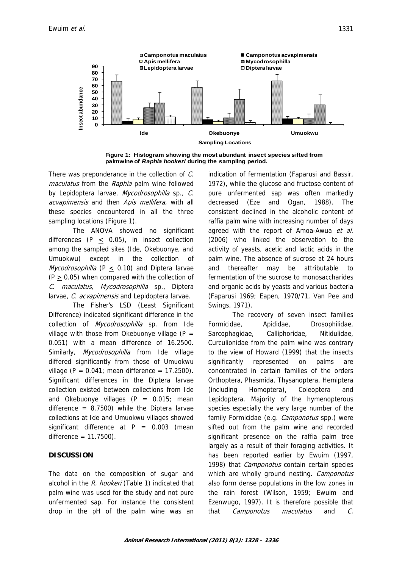

**Figure 1: Histogram showing the most abundant insect species sifted from palmwine of** *Raphia hookeri* **during the sampling period.**

There was preponderance in the collection of C. maculatus from the Raphia palm wine followed by Lepidoptera larvae, Mycodrosophilla sp., C. acvapimensis and then Apis mellifera, with all these species encountered in all the three sampling locations (Figure 1).

The ANOVA showed no significant differences (P  $\leq$  0.05), in insect collection among the sampled sites (Ide, Okebuonye, and Umuokwu) except in the collection of Mycodrosophilla (P  $\leq$  0.10) and Diptera larvae  $(P > 0.05)$  when compared with the collection of C. maculatus, Mycodrosophilla sp., Diptera larvae, C. acvapimensis and Lepidoptera larvae.

The Fisher's LSD (Least Significant Difference) indicated significant difference in the collection of Mycodrosophilla sp. from Ide village with those from Okebuonye village ( $P =$ 0.051) with a mean difference of 16.2500. Similarly, *Mycodrosophilla* from Ide village differed significantly from those of Umuokwu village ( $P = 0.041$ ; mean difference = 17.2500). Significant differences in the Diptera larvae collection existed between collections from Ide and Okebuonye villages  $(P = 0.015)$ ; mean difference =  $8.7500$ ) while the Diptera larvae collections at Ide and Umuokwu villages showed significant difference at  $P = 0.003$  (mean difference = 11.7500).

### **DISCUSSION**

The data on the composition of sugar and alcohol in the R. hookeri (Table 1) indicated that palm wine was used for the study and not pure unfermented sap. For instance the consistent drop in the pH of the palm wine was an indication of fermentation (Faparusi and Bassir, 1972), while the glucose and fructose content of pure unfermented sap was often markedly decreased (Eze and Ogan, 1988). The consistent declined in the alcoholic content of raffia palm wine with increasing number of days agreed with the report of Amoa-Awua et al. (2006) who linked the observation to the activity of yeasts, acetic and lactic acids in the palm wine. The absence of sucrose at 24 hours and thereafter may be attributable to fermentation of the sucrose to monosaccharides and organic acids by yeasts and various bacteria (Faparusi 1969; Eapen, 1970/71, Van Pee and Swings, 1971).

The recovery of seven insect families Formicidae, Apididae, Drosophilidae, Sarcophagidae, Calliphoridae, Nitidulidae, Curculionidae from the palm wine was contrary to the view of Howard (1999) that the insects significantly represented on palms are concentrated in certain families of the orders Orthoptera, Phasmida, Thysanoptera, Hemiptera (including Homoptera), Coleoptera and Lepidoptera. Majority of the hymenopterous species especially the very large number of the family Formicidae (e.g. *Camponotus* spp.) were sifted out from the palm wine and recorded significant presence on the raffia palm tree largely as a result of their foraging activities. It has been reported earlier by Ewuim (1997, 1998) that *Camponotus* contain certain species which are wholly ground nesting. Camponotus also form dense populations in the low zones in the rain forest (Wilson, 1959; Ewuim and Ezenwugo, 1997). It is therefore possible that that Camponotus maculatus and C.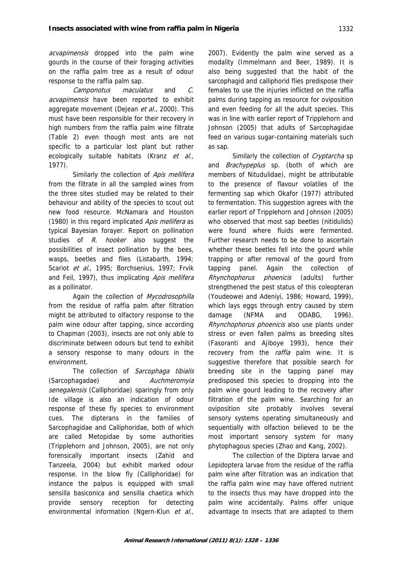acvapimensis dropped into the palm wine gourds in the course of their foraging activities on the raffia palm tree as a result of odour response to the raffia palm sap.

Camponotus maculatus and C. acvapimensis have been reported to exhibit aggregate movement (Dejean et al., 2000). This must have been responsible for their recovery in high numbers from the raffia palm wine filtrate (Table 2) even though most ants are not specific to a particular lost plant but rather ecologically suitable habitats (Kranz et al., 1977).

Similarly the collection of Apis mellifera from the filtrate in all the sampled wines from the three sites studied may be related to their behaviour and ability of the species to scout out new food resource. McNamara and Houston (1980) in this regard implicated Apis mellifera as typical Bayesian forayer. Report on pollination studies of R. hooker also suggest the possibilities of insect pollination by the bees, wasps, beetles and flies (Listabarth, 1994; Scariot et al., 1995; Borchsenius, 1997; Frvik and Feil, 1997), thus implicating Apis mellifera as a pollinator.

Again the collection of Mycodrosophilla from the residue of raffia palm after filtration might be attributed to olfactory response to the palm wine odour after tapping, since according to Chapman (2003), insects are not only able to discriminate between odours but tend to exhibit a sensory response to many odours in the environment.

The collection of Sarcophaga tibialis (Sarcophagadae) and Auchmeromyia senegalensis (Calliphoridae) sparingly from only Ide village is also an indication of odour response of these fly species to environment cues. The dipterans in the families of Sarcophagidae and Calliphoridae, both of which are called Metopidae by some authorities (Tripplehorn and Johnson, 2005), are not only forensically important insects (Zahid and Tanzeela, 2004) but exhibit marked odour response. In the blow fly (Calliphoridae) for instance the palpus is equipped with small sensilla basiconica and sensilla chaetica which provide sensory reception for detecting environmental information (Ngern-Klun et al.,

2007). Evidently the palm wine served as a modality (Immelmann and Beer, 1989). It is also being suggested that the habit of the sarcophagid and calliphorid flies predispose their females to use the injuries inflicted on the raffia palms during tapping as resource for oviposition and even feeding for all the adult species. This was in line with earlier report of Tripplehorn and Johnson (2005) that adults of Sarcophagidae feed on various sugar-containing materials such as sap.

Similarly the collection of Cryptarcha sp and *Brachypeplus* sp. (both of which are members of Nitudulidae), might be attributable to the presence of flavour volatiles of the fermenting sap which Okafor (1977) attributed to fermentation. This suggestion agrees with the earlier report of Tripplehorn and Johnson (2005) who observed that most sap beetles (nitidulids) were found where fluids were fermented. Further research needs to be done to ascertain whether these beetles fell into the gourd while trapping or after removal of the gourd from tapping panel. Again the collection of Rhynchophorus phoenicis (adults) further strengthened the pest status of this coleopteran (Youdeowei and Adeniyi, 1986; Howard, 1999), which lays eggs through entry caused by stem damage (NFMA and ODABG, 1996). Rhynchophorus phoenicis also use plants under stress or even fallen palms as breeding sites (Fasoranti and Ajiboye 1993), hence their recovery from the *raffia* palm wine. It is suggestive therefore that possible search for breeding site in the tapping panel may predisposed this species to dropping into the palm wine gourd leading to the recovery after filtration of the palm wine. Searching for an oviposition site probably involves several sensory systems operating simultaneously and sequentially with olfaction believed to be the most important sensory system for many phytophagous species (Zhao and Kang, 2002).

The collection of the Diptera larvae and Lepidoptera larvae from the residue of the raffia palm wine after filtration was an indication that the raffia palm wine may have offered nutrient to the insects thus may have dropped into the palm wine accidentally. Palms offer unique advantage to insects that are adapted to them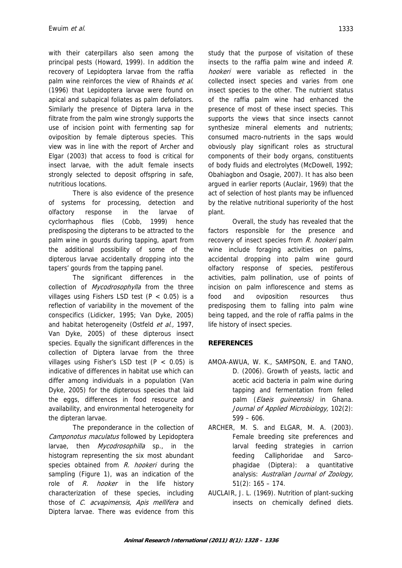with their caterpillars also seen among the principal pests (Howard, 1999). In addition the recovery of Lepidoptera larvae from the raffia palm wine reinforces the view of Rhainds et al. (1996) that Lepidoptera larvae were found on apical and subapical foliates as palm defoliators. Similarly the presence of Diptera larva in the filtrate from the palm wine strongly supports the use of incision point with fermenting sap for oviposition by female dipterous species. This view was in line with the report of Archer and Elgar (2003) that access to food is critical for insect larvae, with the adult female insects strongly selected to deposit offspring in safe, nutritious locations.

There is also evidence of the presence of systems for processing, detection and olfactory response in the larvae of cyclorrhaphous flies (Cobb, 1999) hence predisposing the dipterans to be attracted to the palm wine in gourds during tapping, apart from the additional possibility of some of the dipterous larvae accidentally dropping into the tapers' gourds from the tapping panel.

The significant differences in the collection of Mycodrosophylla from the three villages using Fishers LSD test ( $P < 0.05$ ) is a reflection of variability in the movement of the conspecifics (Lidicker, 1995; Van Dyke, 2005) and habitat heterogeneity (Ostfeld et al., 1997, Van Dyke, 2005) of these dipterous insect species. Equally the significant differences in the collection of Diptera larvae from the three villages using Fisher's LSD test (P < 0.05) is indicative of differences in habitat use which can differ among individuals in a population (Van Dyke, 2005) for the dipterous species that laid the eggs, differences in food resource and availability, and environmental heterogeneity for the dipteran larvae.

The preponderance in the collection of Camponotus maculatus followed by Lepidoptera larvae, then Mycodrosophilla sp., in the histogram representing the six most abundant species obtained from R. hookeri during the sampling (Figure 1), was an indication of the role of R. hooker in the life history characterization of these species, including those of *C. acvapimensis, Apis mellifera* and Diptera larvae. There was evidence from this

study that the purpose of visitation of these insects to the raffia palm wine and indeed R. hookeri were variable as reflected in the collected insect species and varies from one insect species to the other. The nutrient status of the raffia palm wine had enhanced the presence of most of these insect species. This supports the views that since insects cannot synthesize mineral elements and nutrients; consumed macro-nutrients in the saps would obviously play significant roles as structural components of their body organs, constituents of body fluids and electrolytes (McDowell, 1992; Obahiagbon and Osagie, 2007). It has also been argued in earlier reports (Auclair, 1969) that the act of selection of host plants may be influenced by the relative nutritional superiority of the host plant.

Overall, the study has revealed that the factors responsible for the presence and recovery of insect species from R. hookeri palm wine include foraging activities on palms, accidental dropping into palm wine gourd olfactory response of species, pestiferous activities, palm pollination, use of points of incision on palm inflorescence and stems as food and oviposition resources thus predisposing them to falling into palm wine being tapped, and the role of raffia palms in the life history of insect species.

## **REFERENCES**

- AMOA-AWUA, W. K., SAMPSON, E. and TANO, D. (2006). Growth of yeasts, lactic and acetic acid bacteria in palm wine during tapping and fermentation from felled palm (*Elaeis quineensis*) in Ghana. Journal of Applied Microbiology, 102(2):  $599 - 606$ .
- ARCHER, M. S. and ELGAR, M. A. (2003). Female breeding site preferences and larval feeding strategies in carrion feeding Calliphoridae and Sarcophagidae (Diptera): a quantitative analysis: Australian Journal of Zoology, 51(2): 165 – 174.
- AUCLAIR, J. L. (1969). Nutrition of plant-sucking insects on chemically defined diets.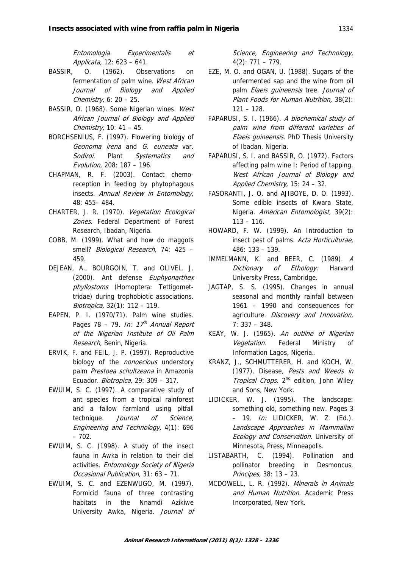Entomologia Experimentalis et Applicata, 12: 623 – 641.

- BASSIR, O. (1962). Observations on fermentation of palm wine. West African Journal of Biology and Applied Chemistry,  $6: 20 - 25$ .
- BASSIR, O. (1968). Some Nigerian wines. West African Journal of Biology and Applied Chemistry, 10:  $41 - 45$ .
- BORCHSENIUS, F. (1997). Flowering biology of Geonoma irena and G. euneata var. Sodiroi. Plant Systematics and Evolution, 208: 187 – 196.
- CHAPMAN, R. F. (2003). Contact chemoreception in feeding by phytophagous insects. Annual Review in Entomology, 48: 455– 484.
- CHARTER, J. R. (1970). Vegetation Ecological Zones. Federal Department of Forest Research, Ibadan, Nigeria.
- COBB, M. (1999). What and how do maggots smell? Biological Research, 74: 425 -459.
- DEJEAN, A., BOURGOIN, T. and OLIVEL. J. (2000). Ant defense Euphyonarthex phyllostoms (Homoptera: Tettigomettridae) during trophobiotic associations. Biotropica, 32(1): 112 – 119.
- EAPEN, P. I. (1970/71). Palm wine studies. Pages 78 – 79. In:  $17<sup>th</sup>$  Annual Report of the Nigerian Institute of Oil Palm Research, Benin, Nigeria.
- ERVIK, F. and FEIL, J. P. (1997). Reproductive biology of the *nonoecious* understory palm Prestoea schultzeana in Amazonia Ecuador. Biotropica, 29: 309 – 317.
- EWUIM, S. C. (1997). A comparative study of ant species from a tropical rainforest and a fallow farmland using pitfall technique. *Journal of Science*, Engineering and Technology, 4(1): 696 – 702.
- EWUIM, S. C. (1998). A study of the insect fauna in Awka in relation to their diel activities. Entomology Society of Nigeria Occasional Publication, 31: 63 – 71.
- EWUIM, S. C. and EZENWUGO, M. (1997). Formicid fauna of three contrasting habitats in the Nnamdi Azikiwe University Awka, Nigeria. Journal of

Science, Engineering and Technology, 4(2): 771 – 779.

- EZE, M. O. and OGAN, U. (1988). Sugars of the unfermented sap and the wine from oil palm Elaeis quineensis tree. Journal of Plant Foods for Human Nutrition, 38(2): 121 – 128.
- FAPARUSI, S. I. (1966). A biochemical study of palm wine from different varieties of Elaeis guineensis. PhD Thesis University of Ibadan, Nigeria.
- FAPARUSI, S. I. and BASSIR, O. (1972). Factors affecting palm wine I: Period of tapping. West African Journal of Biology and Applied Chemistry, 15: 24 – 32.
- FASORANTI, J. O. and AJIBOYE, D. O. (1993). Some edible insects of Kwara State, Nigeria. American Entomologist, 39(2): 113 – 116.
- HOWARD, F. W. (1999). An Introduction to insect pest of palms. Acta Horticulturae, 486: 133 – 139.
- IMMELMANN, K. and BEER, C. (1989). A Dictionary of Ethology: Harvard University Press, Cambridge.
- JAGTAP, S. S. (1995). Changes in annual seasonal and monthly rainfall between 1961 – 1990 and consequences for agriculture. Discovery and Innovation, 7: 337 – 348.
- KEAY, W. J. (1965). An outline of Nigerian Vegetation. Federal Ministry of Information Lagos, Nigeria..
- KRANZ, J., SCHMUTTERER, H. and KOCH, W. (1977). Disease, Pests and Weeds in Tropical Crops, 2<sup>nd</sup> edition, John Wiley and Sons, New York.
- LIDICKER, W. J. (1995). The landscape: something old, something new. Pages 3  $-$  19. *In:* LIDICKER, W. Z. (Ed.). Landscape Approaches in Mammalian Ecology and Conservation. University of Minnesota, Press, Minneapolis.
- LISTABARTH, C. (1994). Pollination and pollinator breeding in Desmoncus. Principes, 38: 13 – 23.
- MCDOWELL, L. R. (1992). Minerals in Animals and Human Nutrition. Academic Press Incorporated, New York.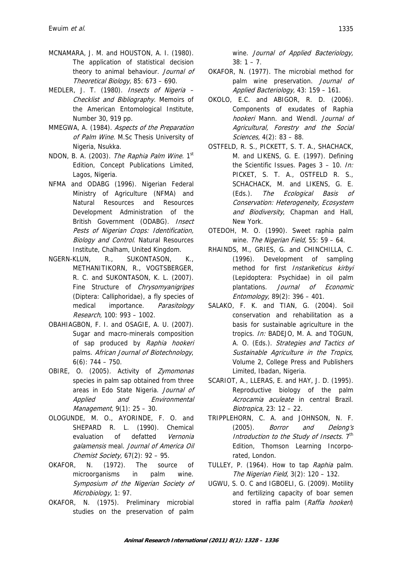- MCNAMARA, J. M. and HOUSTON, A. I. (1980). The application of statistical decision theory to animal behaviour. Journal of Theoretical Biology, 85: 673 – 690.
- MEDLER, J. T. (1980). Insects of Nigeria Checklist and Bibliography. Memoirs of the American Entomological Institute, Number 30, 919 pp.
- MMEGWA, A. (1984). Aspects of the Preparation of Palm Wine. M.Sc Thesis University of Nigeria, Nsukka.
- NDON, B. A. (2003). The Raphia Palm Wine. 1<sup>st</sup> Edition, Concept Publications Limited, Lagos, Nigeria.
- NFMA and ODABG (1996). Nigerian Federal Ministry of Agriculture (NFMA) and Natural Resources and Resources Development Administration of the British Government (ODABG). Insect Pests of Nigerian Crops: Identification, Biology and Control. Natural Resources Institute, Chalham, United Kingdom.
- NGERN-KLUN, R., SUKONTASON, K., METHANITIKORN, R., VOGTSBERGER, R. C. and SUKONTASON, K. L. (2007). Fine Structure of Chrysomyanigripes (Diptera: Calliphoridae), a fly species of medical importance. Parasitology Research, 100: 993 – 1002.
- OBAHIAGBON, F. I. and OSAGIE, A. U. (2007). Sugar and macro-minerals composition of sap produced by Raphia hookeri palms. African Journal of Biotechnology,  $6(6)$ : 744 – 750.
- OBIRE, O. (2005). Activity of Zymomonas species in palm sap obtained from three areas in Edo State Nigeria. Journal of Applied and Environmental Management, 9(1): 25 – 30.
- OLOGUNDE, M. O., AYORINDE, F. O. and SHEPARD R. L. (1990). Chemical evaluation of defatted Vernonia galamensis meal. Journal of America Oil Chemist Society, 67(2): 92 - 95.
- OKAFOR, N. (1972). The source of microorganisms in palm wine. Symposium of the Nigerian Society of Microbiology, 1: 97.
- OKAFOR, N. (1975). Preliminary microbial studies on the preservation of palm

wine. Journal of Applied Bacteriology,  $38: 1 - 7.$ 

- OKAFOR, N. (1977). The microbial method for palm wine preservation. Journal of Applied Bacteriology, 43: 159 – 161.
- OKOLO, E.C. and ABIGOR, R. D. (2006). Components of exudates of Raphia hookeri Mann. and Wendl. Journal of Agricultural, Forestry and the Social Sciences, 4(2): 83 – 88.
- OSTFELD, R. S., PICKETT, S. T. A., SHACHACK, M. and LIKENS, G. E. (1997). Defining the Scientific Issues. Pages 3 - 10. In: PICKET, S. T. A., OSTFELD R. S., SCHACHACK, M. and LIKENS, G. E. (Eds.). The Ecological Basis of Conservation: Heterogeneity, Ecosystem and Biodiversity, Chapman and Hall, New York.
- OTEDOH, M. O. (1990). Sweet raphia palm wine. The Nigerian Field, 55: 59 - 64.
- RHAINDS, M., GRIES, G. and CHINCHILLA, C. (1996). Development of sampling method for first Instariketicus kirbyi (Lepidoptera: Psychidae) in oil palm plantations. Journal of Economic Entomology, 89(2): 396 – 401.
- SALAKO, F. K. and TIAN, G. (2004). Soil conservation and rehabilitation as a basis for sustainable agriculture in the tropics. In: BADEJO, M. A. and TOGUN, A. O. (Eds.). Strategies and Tactics of Sustainable Agriculture in the Tropics, Volume 2, College Press and Publishers Limited, Ibadan, Nigeria.
- SCARIOT, A., LLERAS, E. and HAY, J. D. (1995). Reproductive biology of the palm Acrocamia aculeate in central Brazil. Biotropica, 23: 12 – 22.
- TRIPPLEHORN, C. A. and JOHNSON, N. F. (2005). Borror and Delong's Introduction to the Study of Insects. 7<sup>th</sup> Edition, Thomson Learning Incorporated, London.
- TULLEY, P. (1964). How to tap Raphia palm. The Nigerian Field, 3(2): 120 – 132.
- UGWU, S. O. C and IGBOELI, G. (2009). Motility and fertilizing capacity of boar semen stored in raffia palm (Raffia hookeri)